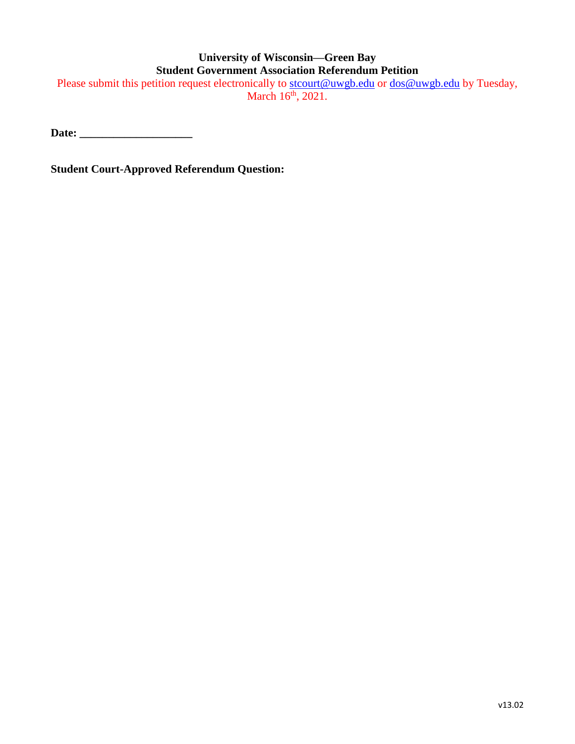## **University of Wisconsin—Green Bay Student Government Association Referendum Petition**

Please submit this petition request electronically to [stcourt@uwgb.edu](mailto:stcourt@uwgb.edu) or [dos@uwgb.edu](mailto:dos@uwgb.edu) by Tuesday, March 16<sup>th</sup>, 2021.

**Date: \_\_\_\_\_\_\_\_\_\_\_\_\_\_\_\_\_\_\_\_**

**Student Court-Approved Referendum Question:**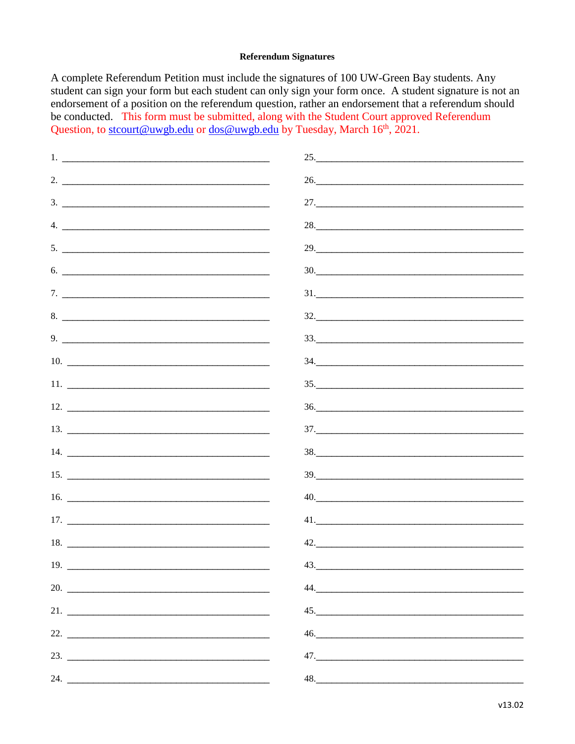## **Referendum Signatures**

A complete Referendum Petition must include the signatures of 100 UW-Green Bay students. Any student can sign your form but each student can only sign your form once. A student signature is not an endorsement of a position on the referendum question, rather an endorsement that a referendum should be conducted. This form must be submitted, along with the Student Court approved Referendum Question, to stcourt@uwgb.edu or dos@uwgb.edu by Tuesday, March 16<sup>th</sup>, 2021.

| $1.$ $\overline{\phantom{a}}$                                                                                                                                                                                                                                                                                                                                      | 25.                                                                                                                       |
|--------------------------------------------------------------------------------------------------------------------------------------------------------------------------------------------------------------------------------------------------------------------------------------------------------------------------------------------------------------------|---------------------------------------------------------------------------------------------------------------------------|
| 2. $\overline{\phantom{a}}$                                                                                                                                                                                                                                                                                                                                        | 26.                                                                                                                       |
|                                                                                                                                                                                                                                                                                                                                                                    |                                                                                                                           |
| $4.$ $\overline{\phantom{a}}$                                                                                                                                                                                                                                                                                                                                      | 28.                                                                                                                       |
|                                                                                                                                                                                                                                                                                                                                                                    |                                                                                                                           |
| $6.$ $\overline{\phantom{a}}$                                                                                                                                                                                                                                                                                                                                      | 30.                                                                                                                       |
| 7.                                                                                                                                                                                                                                                                                                                                                                 | $\frac{31}{200}$                                                                                                          |
| 8.                                                                                                                                                                                                                                                                                                                                                                 |                                                                                                                           |
| 9.                                                                                                                                                                                                                                                                                                                                                                 | 33.                                                                                                                       |
| 10.                                                                                                                                                                                                                                                                                                                                                                | $\frac{34}{200}$                                                                                                          |
| $11.$ $\frac{1}{\sqrt{2}}$ $\frac{1}{\sqrt{2}}$ $\frac{1}{\sqrt{2}}$ $\frac{1}{\sqrt{2}}$ $\frac{1}{\sqrt{2}}$ $\frac{1}{\sqrt{2}}$ $\frac{1}{\sqrt{2}}$ $\frac{1}{\sqrt{2}}$ $\frac{1}{\sqrt{2}}$ $\frac{1}{\sqrt{2}}$ $\frac{1}{\sqrt{2}}$ $\frac{1}{\sqrt{2}}$ $\frac{1}{\sqrt{2}}$ $\frac{1}{\sqrt{2}}$ $\frac{1}{\sqrt{2}}$ $\frac{1}{\sqrt{2}}$ $\frac{1}{\$ | $\frac{35}{256}$                                                                                                          |
|                                                                                                                                                                                                                                                                                                                                                                    | $\frac{36.}{200}$                                                                                                         |
|                                                                                                                                                                                                                                                                                                                                                                    | $\begin{array}{c} 37. \begin{array}{c} \begin{array}{c} \begin{array}{c} \end{array} \end{array} \end{array} \end{array}$ |
|                                                                                                                                                                                                                                                                                                                                                                    |                                                                                                                           |
|                                                                                                                                                                                                                                                                                                                                                                    | $\frac{39}{200}$                                                                                                          |
|                                                                                                                                                                                                                                                                                                                                                                    | 40.                                                                                                                       |
|                                                                                                                                                                                                                                                                                                                                                                    |                                                                                                                           |
|                                                                                                                                                                                                                                                                                                                                                                    | 42.                                                                                                                       |
| 19.                                                                                                                                                                                                                                                                                                                                                                | 43.                                                                                                                       |
| 20.                                                                                                                                                                                                                                                                                                                                                                | 44.                                                                                                                       |
|                                                                                                                                                                                                                                                                                                                                                                    |                                                                                                                           |
|                                                                                                                                                                                                                                                                                                                                                                    |                                                                                                                           |
|                                                                                                                                                                                                                                                                                                                                                                    |                                                                                                                           |
| 24.                                                                                                                                                                                                                                                                                                                                                                | $\begin{array}{c} 48. \end{array}$                                                                                        |